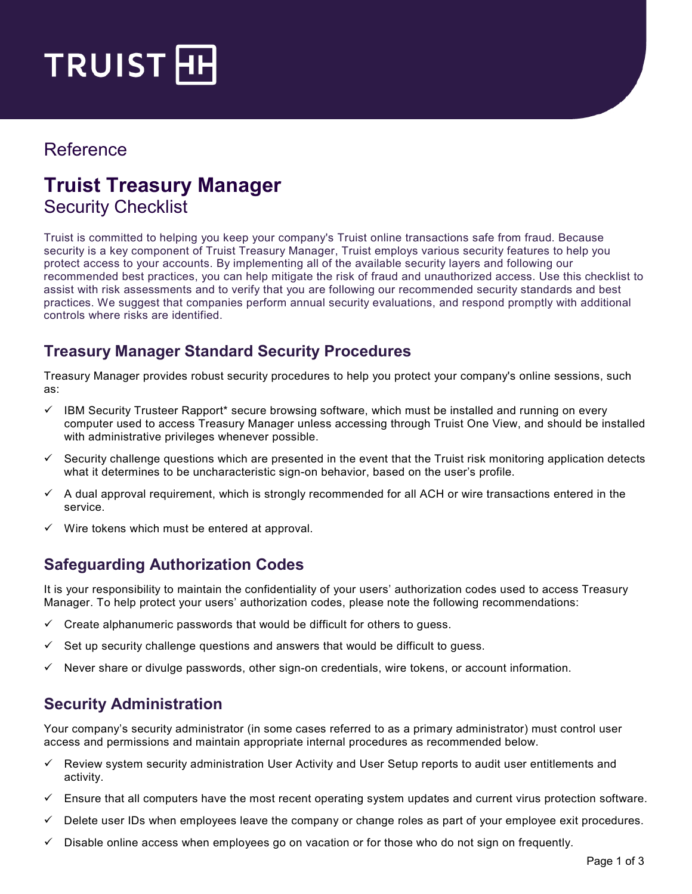

## Reference

# **Truist Treasury Manager**  Security Checklist

Truist is committed to helping you keep your company's Truist online transactions safe from fraud. Because security is a key component of Truist Treasury Manager, Truist employs various security features to help you protect access to your accounts. By implementing all of the available security layers and following our recommended best practices, you can help mitigate the risk of fraud and unauthorized access. Use this checklist to assist with risk assessments and to verify that you are following our recommended security standards and best practices. We suggest that companies perform annual security evaluations, and respond promptly with additional controls where risks are identified.

## **Treasury Manager Standard Security Procedures**

Treasury Manager provides robust security procedures to help you protect your company's online sessions, such as:

- $\checkmark$  IBM Security Trusteer Rapport\* secure browsing software, which must be installed and running on every computer used to access Treasury Manager unless accessing through Truist One View, and should be installed with administrative privileges whenever possible.
- $\checkmark$  Security challenge questions which are presented in the event that the Truist risk monitoring application detects what it determines to be uncharacteristic sign-on behavior, based on the user's profile.
- $\checkmark$  A dual approval requirement, which is strongly recommended for all ACH or wire transactions entered in the service.
- Wire tokens which must be entered at approval.

## **Safeguarding Authorization Codes**

It is your responsibility to maintain the confidentiality of your users' authorization codes used to access Treasury Manager. To help protect your users' authorization codes, please note the following recommendations:

- $\checkmark$  Create alphanumeric passwords that would be difficult for others to guess.
- Set up security challenge questions and answers that would be difficult to guess.
- Never share or divulge passwords, other sign-on credentials, wire tokens, or account information.

## **Security Administration**

Your company's security administrator (in some cases referred to as a primary administrator) must control user access and permissions and maintain appropriate internal procedures as recommended below.

- $\checkmark$  Review system security administration User Activity and User Setup reports to audit user entitlements and activity.
- $\checkmark$  Ensure that all computers have the most recent operating system updates and current virus protection software.
- $\checkmark$  Delete user IDs when employees leave the company or change roles as part of your employee exit procedures.
- Disable online access when employees go on vacation or for those who do not sign on frequently.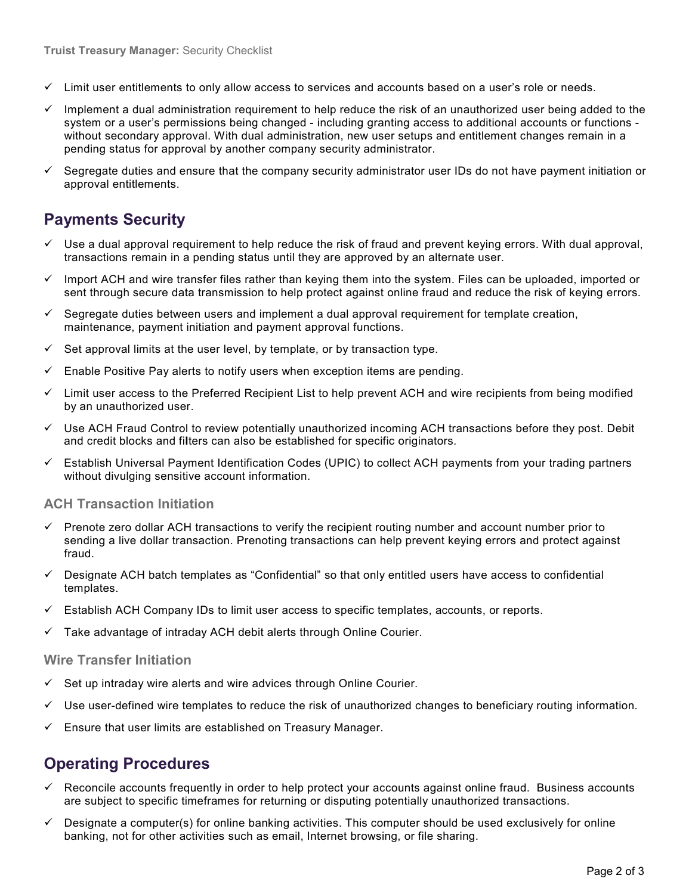- $\checkmark$  Limit user entitlements to only allow access to services and accounts based on a user's role or needs.
- Implement a dual administration requirement to help reduce the risk of an unauthorized user being added to the system or a user's permissions being changed - including granting access to additional accounts or functions without secondary approval. With dual administration, new user setups and entitlement changes remain in a pending status for approval by another company security administrator.
- $\checkmark$  Segregate duties and ensure that the company security administrator user IDs do not have payment initiation or approval entitlements.

## **Payments Security**

- $\checkmark$  Use a dual approval requirement to help reduce the risk of fraud and prevent keying errors. With dual approval, transactions remain in a pending status until they are approved by an alternate user.
- $\checkmark$  Import ACH and wire transfer files rather than keying them into the system. Files can be uploaded, imported or sent through secure data transmission to help protect against online fraud and reduce the risk of keying errors.
- $\checkmark$  Segregate duties between users and implement a dual approval requirement for template creation, maintenance, payment initiation and payment approval functions.
- Set approval limits at the user level, by template, or by transaction type.
- $\checkmark$  Enable Positive Pay alerts to notify users when exception items are pending.
- $\checkmark$  Limit user access to the Preferred Recipient List to help prevent ACH and wire recipients from being modified by an unauthorized user.
- $\checkmark$  Use ACH Fraud Control to review potentially unauthorized incoming ACH transactions before they post. Debit and credit blocks and fi**l**ters can also be established for specific originators.
- Establish Universal Payment Identification Codes (UPIC) to collect ACH payments from your trading partners without divulging sensitive account information.

#### **ACH Transaction Initiation**

- Prenote zero dollar ACH transactions to verify the recipient routing number and account number prior to sending a live dollar transaction. Prenoting transactions can help prevent keying errors and protect against fraud.
- $\checkmark$  Designate ACH batch templates as "Confidential" so that only entitled users have access to confidential templates.
- $\checkmark$  Establish ACH Company IDs to limit user access to specific templates, accounts, or reports.
- $\checkmark$  Take advantage of intraday ACH debit alerts through Online Courier.

#### **Wire Transfer Initiation**

- Set up intraday wire alerts and wire advices through Online Courier.
- $\checkmark$  Use user-defined wire templates to reduce the risk of unauthorized changes to beneficiary routing information.
- $\checkmark$  Ensure that user limits are established on Treasury Manager.

### **Operating Procedures**

- $\checkmark$  Reconcile accounts frequently in order to help protect your accounts against online fraud. Business accounts are subject to specific timeframes for returning or disputing potentially unauthorized transactions.
- $\checkmark$  Designate a computer(s) for online banking activities. This computer should be used exclusively for online banking, not for other activities such as email, Internet browsing, or file sharing.